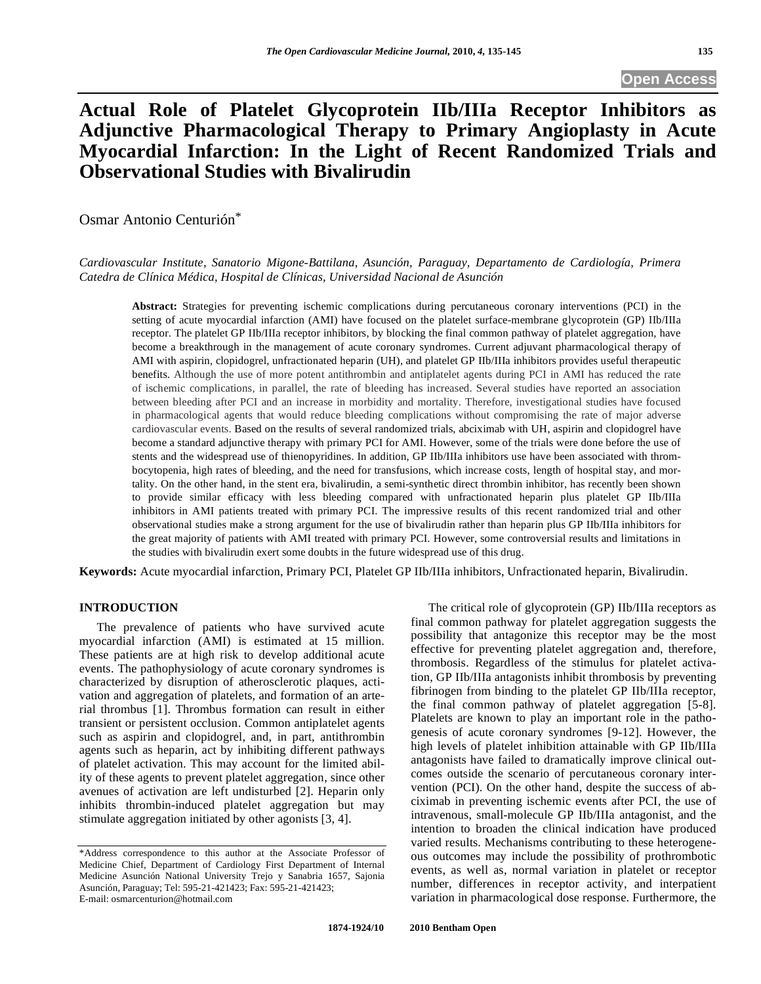# **Actual Role of Platelet Glycoprotein IIb/IIIa Receptor Inhibitors as Adjunctive Pharmacological Therapy to Primary Angioplasty in Acute Myocardial Infarction: In the Light of Recent Randomized Trials and Observational Studies with Bivalirudin**

Osmar Antonio Centurión\*

*Cardiovascular Institute, Sanatorio Migone-Battilana, Asunción, Paraguay, Departamento de Cardiología, Primera Catedra de Clínica Médica, Hospital de Clínicas, Universidad Nacional de Asunción* 

**Abstract:** Strategies for preventing ischemic complications during percutaneous coronary interventions (PCI) in the setting of acute myocardial infarction (AMI) have focused on the platelet surface-membrane glycoprotein (GP) IIb/IIIa receptor. The platelet GP IIb/IIIa receptor inhibitors, by blocking the final common pathway of platelet aggregation, have become a breakthrough in the management of acute coronary syndromes. Current adjuvant pharmacological therapy of AMI with aspirin, clopidogrel, unfractionated heparin (UH), and platelet GP IIb/IIIa inhibitors provides useful therapeutic benefits. Although the use of more potent antithrombin and antiplatelet agents during PCI in AMI has reduced the rate of ischemic complications, in parallel, the rate of bleeding has increased. Several studies have reported an association between bleeding after PCI and an increase in morbidity and mortality. Therefore, investigational studies have focused in pharmacological agents that would reduce bleeding complications without compromising the rate of major adverse cardiovascular events. Based on the results of several randomized trials, abciximab with UH, aspirin and clopidogrel have become a standard adjunctive therapy with primary PCI for AMI. However, some of the trials were done before the use of stents and the widespread use of thienopyridines. In addition, GP IIb/IIIa inhibitors use have been associated with thrombocytopenia, high rates of bleeding, and the need for transfusions, which increase costs, length of hospital stay, and mortality. On the other hand, in the stent era, bivalirudin, a semi-synthetic direct thrombin inhibitor, has recently been shown to provide similar efficacy with less bleeding compared with unfractionated heparin plus platelet GP IIb/IIIa inhibitors in AMI patients treated with primary PCI. The impressive results of this recent randomized trial and other observational studies make a strong argument for the use of bivalirudin rather than heparin plus GP IIb/IIIa inhibitors for the great majority of patients with AMI treated with primary PCI. However, some controversial results and limitations in the studies with bivalirudin exert some doubts in the future widespread use of this drug.

**Keywords:** Acute myocardial infarction, Primary PCI, Platelet GP IIb/IIIa inhibitors, Unfractionated heparin, Bivalirudin.

### **INTRODUCTION**

 The prevalence of patients who have survived acute myocardial infarction (AMI) is estimated at 15 million. These patients are at high risk to develop additional acute events. The pathophysiology of acute coronary syndromes is characterized by disruption of atherosclerotic plaques, activation and aggregation of platelets, and formation of an arterial thrombus [1]. Thrombus formation can result in either transient or persistent occlusion. Common antiplatelet agents such as aspirin and clopidogrel, and, in part, antithrombin agents such as heparin, act by inhibiting different pathways of platelet activation. This may account for the limited ability of these agents to prevent platelet aggregation, since other avenues of activation are left undisturbed [2]. Heparin only inhibits thrombin-induced platelet aggregation but may stimulate aggregation initiated by other agonists [3, 4].

 The critical role of glycoprotein (GP) IIb/IIIa receptors as final common pathway for platelet aggregation suggests the possibility that antagonize this receptor may be the most effective for preventing platelet aggregation and, therefore, thrombosis. Regardless of the stimulus for platelet activation, GP IIb/IIIa antagonists inhibit thrombosis by preventing fibrinogen from binding to the platelet GP IIb/IIIa receptor, the final common pathway of platelet aggregation [5-8]. Platelets are known to play an important role in the pathogenesis of acute coronary syndromes [9-12]. However, the high levels of platelet inhibition attainable with GP IIb/IIIa antagonists have failed to dramatically improve clinical outcomes outside the scenario of percutaneous coronary intervention (PCI). On the other hand, despite the success of abciximab in preventing ischemic events after PCI, the use of intravenous, small-molecule GP IIb/IIIa antagonist, and the intention to broaden the clinical indication have produced varied results. Mechanisms contributing to these heterogeneous outcomes may include the possibility of prothrombotic events, as well as, normal variation in platelet or receptor number, differences in receptor activity, and interpatient variation in pharmacological dose response. Furthermore, the

<sup>\*</sup>Address correspondence to this author at the Associate Professor of Medicine Chief, Department of Cardiology First Department of Internal Medicine Asunción National University Trejo y Sanabria 1657, Sajonia Asunción, Paraguay; Tel: 595-21-421423; Fax: 595-21-421423; E-mail: osmarcenturion@hotmail.com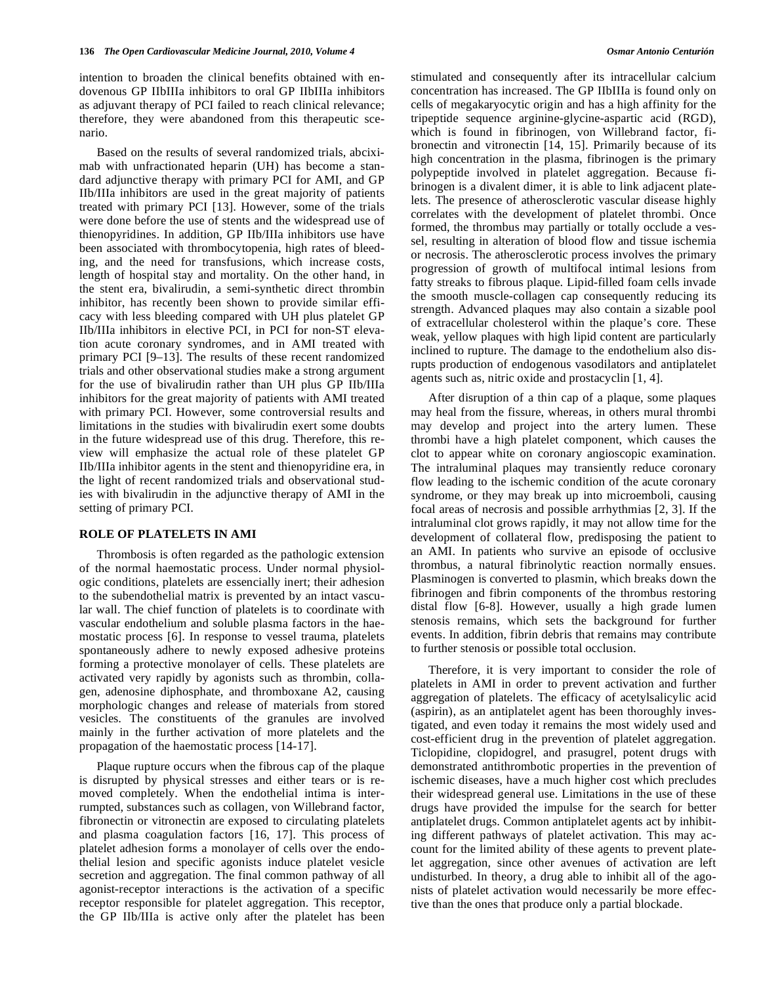intention to broaden the clinical benefits obtained with endovenous GP IIbIIIa inhibitors to oral GP IIbIIIa inhibitors as adjuvant therapy of PCI failed to reach clinical relevance; therefore, they were abandoned from this therapeutic scenario.

 Based on the results of several randomized trials, abciximab with unfractionated heparin (UH) has become a standard adjunctive therapy with primary PCI for AMI, and GP IIb/IIIa inhibitors are used in the great majority of patients treated with primary PCI [13]. However, some of the trials were done before the use of stents and the widespread use of thienopyridines. In addition, GP IIb/IIIa inhibitors use have been associated with thrombocytopenia, high rates of bleeding, and the need for transfusions, which increase costs, length of hospital stay and mortality. On the other hand, in the stent era, bivalirudin, a semi-synthetic direct thrombin inhibitor, has recently been shown to provide similar efficacy with less bleeding compared with UH plus platelet GP IIb/IIIa inhibitors in elective PCI, in PCI for non-ST elevation acute coronary syndromes, and in AMI treated with primary PCI [9–13]. The results of these recent randomized trials and other observational studies make a strong argument for the use of bivalirudin rather than UH plus GP IIb/IIIa inhibitors for the great majority of patients with AMI treated with primary PCI. However, some controversial results and limitations in the studies with bivalirudin exert some doubts in the future widespread use of this drug. Therefore, this review will emphasize the actual role of these platelet GP IIb/IIIa inhibitor agents in the stent and thienopyridine era, in the light of recent randomized trials and observational studies with bivalirudin in the adjunctive therapy of AMI in the setting of primary PCI.

#### **ROLE OF PLATELETS IN AMI**

 Thrombosis is often regarded as the pathologic extension of the normal haemostatic process. Under normal physiologic conditions, platelets are essencially inert; their adhesion to the subendothelial matrix is prevented by an intact vascular wall. The chief function of platelets is to coordinate with vascular endothelium and soluble plasma factors in the haemostatic process [6]. In response to vessel trauma, platelets spontaneously adhere to newly exposed adhesive proteins forming a protective monolayer of cells. These platelets are activated very rapidly by agonists such as thrombin, collagen, adenosine diphosphate, and thromboxane A2, causing morphologic changes and release of materials from stored vesicles. The constituents of the granules are involved mainly in the further activation of more platelets and the propagation of the haemostatic process [14-17].

 Plaque rupture occurs when the fibrous cap of the plaque is disrupted by physical stresses and either tears or is removed completely. When the endothelial intima is interrumpted, substances such as collagen, von Willebrand factor, fibronectin or vitronectin are exposed to circulating platelets and plasma coagulation factors [16, 17]. This process of platelet adhesion forms a monolayer of cells over the endothelial lesion and specific agonists induce platelet vesicle secretion and aggregation. The final common pathway of all agonist-receptor interactions is the activation of a specific receptor responsible for platelet aggregation. This receptor, the GP IIb/IIIa is active only after the platelet has been

stimulated and consequently after its intracellular calcium concentration has increased. The GP IIbIIIa is found only on cells of megakaryocytic origin and has a high affinity for the tripeptide sequence arginine-glycine-aspartic acid (RGD), which is found in fibrinogen, von Willebrand factor, fibronectin and vitronectin [14, 15]. Primarily because of its high concentration in the plasma, fibrinogen is the primary polypeptide involved in platelet aggregation. Because fibrinogen is a divalent dimer, it is able to link adjacent platelets. The presence of atherosclerotic vascular disease highly correlates with the development of platelet thrombi. Once formed, the thrombus may partially or totally occlude a vessel, resulting in alteration of blood flow and tissue ischemia or necrosis. The atherosclerotic process involves the primary progression of growth of multifocal intimal lesions from fatty streaks to fibrous plaque. Lipid-filled foam cells invade the smooth muscle-collagen cap consequently reducing its strength. Advanced plaques may also contain a sizable pool of extracellular cholesterol within the plaque's core. These weak, yellow plaques with high lipid content are particularly inclined to rupture. The damage to the endothelium also disrupts production of endogenous vasodilators and antiplatelet agents such as, nitric oxide and prostacyclin [1, 4].

 After disruption of a thin cap of a plaque, some plaques may heal from the fissure, whereas, in others mural thrombi may develop and project into the artery lumen. These thrombi have a high platelet component, which causes the clot to appear white on coronary angioscopic examination. The intraluminal plaques may transiently reduce coronary flow leading to the ischemic condition of the acute coronary syndrome, or they may break up into microemboli, causing focal areas of necrosis and possible arrhythmias [2, 3]. If the intraluminal clot grows rapidly, it may not allow time for the development of collateral flow, predisposing the patient to an AMI. In patients who survive an episode of occlusive thrombus, a natural fibrinolytic reaction normally ensues. Plasminogen is converted to plasmin, which breaks down the fibrinogen and fibrin components of the thrombus restoring distal flow [6-8]. However, usually a high grade lumen stenosis remains, which sets the background for further events. In addition, fibrin debris that remains may contribute to further stenosis or possible total occlusion.

 Therefore, it is very important to consider the role of platelets in AMI in order to prevent activation and further aggregation of platelets. The efficacy of acetylsalicylic acid (aspirin), as an antiplatelet agent has been thoroughly investigated, and even today it remains the most widely used and cost-efficient drug in the prevention of platelet aggregation. Ticlopidine, clopidogrel, and prasugrel, potent drugs with demonstrated antithrombotic properties in the prevention of ischemic diseases, have a much higher cost which precludes their widespread general use. Limitations in the use of these drugs have provided the impulse for the search for better antiplatelet drugs. Common antiplatelet agents act by inhibiting different pathways of platelet activation. This may account for the limited ability of these agents to prevent platelet aggregation, since other avenues of activation are left undisturbed. In theory, a drug able to inhibit all of the agonists of platelet activation would necessarily be more effective than the ones that produce only a partial blockade.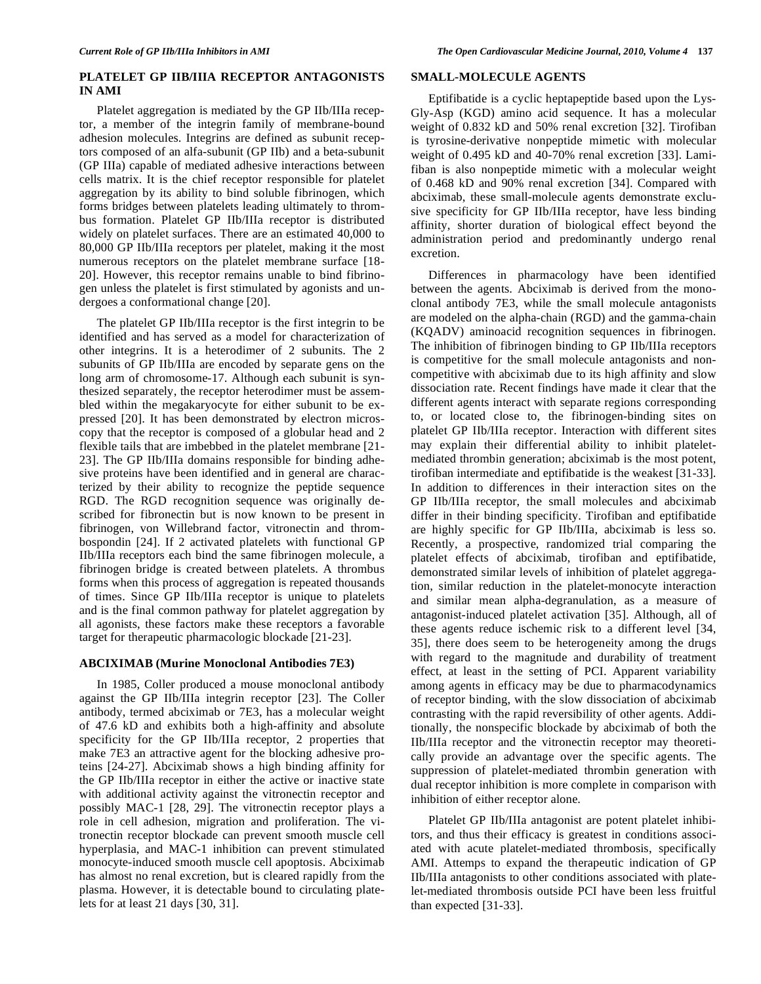## **PLATELET GP IIB/IIIA RECEPTOR ANTAGONISTS IN AMI**

 Platelet aggregation is mediated by the GP IIb/IIIa receptor, a member of the integrin family of membrane-bound adhesion molecules. Integrins are defined as subunit receptors composed of an alfa-subunit (GP IIb) and a beta-subunit (GP IIIa) capable of mediated adhesive interactions between cells matrix. It is the chief receptor responsible for platelet aggregation by its ability to bind soluble fibrinogen, which forms bridges between platelets leading ultimately to thrombus formation. Platelet GP IIb/IIIa receptor is distributed widely on platelet surfaces. There are an estimated 40,000 to 80,000 GP IIb/IIIa receptors per platelet, making it the most numerous receptors on the platelet membrane surface [18- 20]. However, this receptor remains unable to bind fibrinogen unless the platelet is first stimulated by agonists and undergoes a conformational change [20].

 The platelet GP IIb/IIIa receptor is the first integrin to be identified and has served as a model for characterization of other integrins. It is a heterodimer of 2 subunits. The 2 subunits of GP IIb/IIIa are encoded by separate gens on the long arm of chromosome-17. Although each subunit is synthesized separately, the receptor heterodimer must be assembled within the megakaryocyte for either subunit to be expressed [20]. It has been demonstrated by electron microscopy that the receptor is composed of a globular head and 2 flexible tails that are imbebbed in the platelet membrane [21- 23]. The GP IIb/IIIa domains responsible for binding adhesive proteins have been identified and in general are characterized by their ability to recognize the peptide sequence RGD. The RGD recognition sequence was originally described for fibronectin but is now known to be present in fibrinogen, von Willebrand factor, vitronectin and thrombospondin [24]. If 2 activated platelets with functional GP IIb/IIIa receptors each bind the same fibrinogen molecule, a fibrinogen bridge is created between platelets. A thrombus forms when this process of aggregation is repeated thousands of times. Since GP IIb/IIIa receptor is unique to platelets and is the final common pathway for platelet aggregation by all agonists, these factors make these receptors a favorable target for therapeutic pharmacologic blockade [21-23].

#### **ABCIXIMAB (Murine Monoclonal Antibodies 7E3)**

 In 1985, Coller produced a mouse monoclonal antibody against the GP IIb/IIIa integrin receptor [23]. The Coller antibody, termed abciximab or 7E3, has a molecular weight of 47.6 kD and exhibits both a high-affinity and absolute specificity for the GP IIb/IIIa receptor, 2 properties that make 7E3 an attractive agent for the blocking adhesive proteins [24-27]. Abciximab shows a high binding affinity for the GP IIb/IIIa receptor in either the active or inactive state with additional activity against the vitronectin receptor and possibly MAC-1 [28, 29]. The vitronectin receptor plays a role in cell adhesion, migration and proliferation. The vitronectin receptor blockade can prevent smooth muscle cell hyperplasia, and MAC-1 inhibition can prevent stimulated monocyte-induced smooth muscle cell apoptosis. Abciximab has almost no renal excretion, but is cleared rapidly from the plasma. However, it is detectable bound to circulating platelets for at least 21 days [30, 31].

#### **SMALL-MOLECULE AGENTS**

 Eptifibatide is a cyclic heptapeptide based upon the Lys-Gly-Asp (KGD) amino acid sequence. It has a molecular weight of 0.832 kD and 50% renal excretion [32]. Tirofiban is tyrosine-derivative nonpeptide mimetic with molecular weight of 0.495 kD and 40-70% renal excretion [33]. Lamifiban is also nonpeptide mimetic with a molecular weight of 0.468 kD and 90% renal excretion [34]. Compared with abciximab, these small-molecule agents demonstrate exclusive specificity for GP IIb/IIIa receptor, have less binding affinity, shorter duration of biological effect beyond the administration period and predominantly undergo renal excretion.

 Differences in pharmacology have been identified between the agents. Abciximab is derived from the monoclonal antibody 7E3, while the small molecule antagonists are modeled on the alpha-chain (RGD) and the gamma-chain (KQADV) aminoacid recognition sequences in fibrinogen. The inhibition of fibrinogen binding to GP IIb/IIIa receptors is competitive for the small molecule antagonists and noncompetitive with abciximab due to its high affinity and slow dissociation rate. Recent findings have made it clear that the different agents interact with separate regions corresponding to, or located close to, the fibrinogen-binding sites on platelet GP IIb/IIIa receptor. Interaction with different sites may explain their differential ability to inhibit plateletmediated thrombin generation; abciximab is the most potent, tirofiban intermediate and eptifibatide is the weakest [31-33]. In addition to differences in their interaction sites on the GP IIb/IIIa receptor, the small molecules and abciximab differ in their binding specificity. Tirofiban and eptifibatide are highly specific for GP IIb/IIIa, abciximab is less so. Recently, a prospective, randomized trial comparing the platelet effects of abciximab, tirofiban and eptifibatide, demonstrated similar levels of inhibition of platelet aggregation, similar reduction in the platelet-monocyte interaction and similar mean alpha-degranulation, as a measure of antagonist-induced platelet activation [35]. Although, all of these agents reduce ischemic risk to a different level [34, 35], there does seem to be heterogeneity among the drugs with regard to the magnitude and durability of treatment effect, at least in the setting of PCI. Apparent variability among agents in efficacy may be due to pharmacodynamics of receptor binding, with the slow dissociation of abciximab contrasting with the rapid reversibility of other agents. Additionally, the nonspecific blockade by abciximab of both the IIb/IIIa receptor and the vitronectin receptor may theoretically provide an advantage over the specific agents. The suppression of platelet-mediated thrombin generation with dual receptor inhibition is more complete in comparison with inhibition of either receptor alone.

 Platelet GP IIb/IIIa antagonist are potent platelet inhibitors, and thus their efficacy is greatest in conditions associated with acute platelet-mediated thrombosis, specifically AMI. Attemps to expand the therapeutic indication of GP IIb/IIIa antagonists to other conditions associated with platelet-mediated thrombosis outside PCI have been less fruitful than expected [31-33].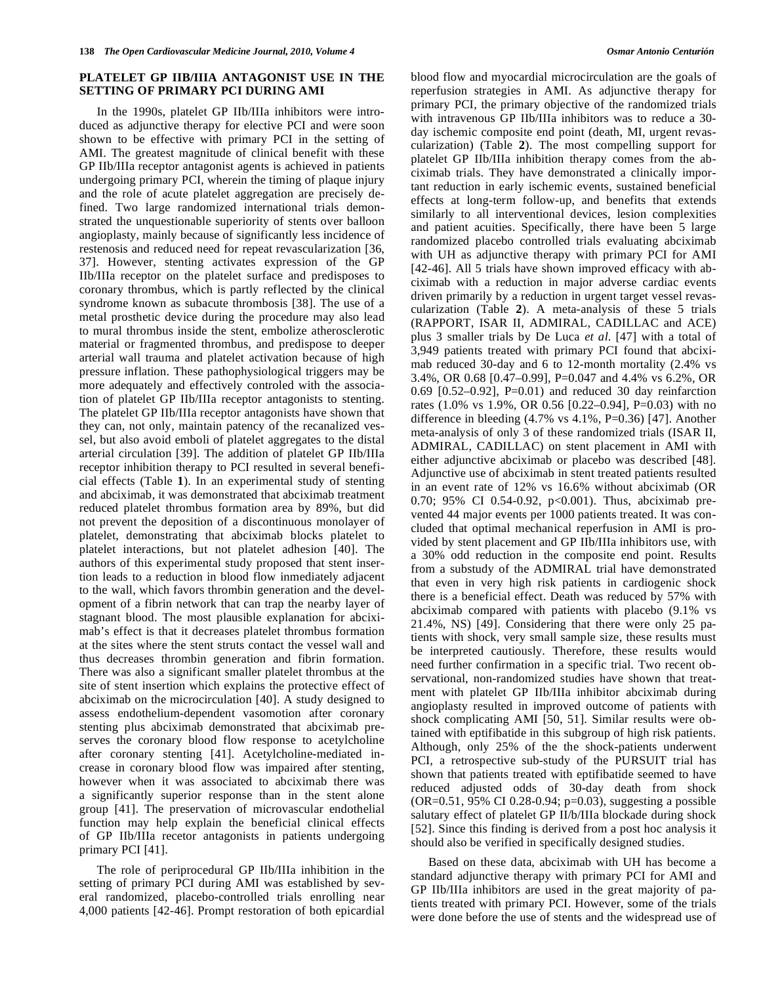#### **PLATELET GP IIB/IIIA ANTAGONIST USE IN THE SETTING OF PRIMARY PCI DURING AMI**

 In the 1990s, platelet GP IIb/IIIa inhibitors were introduced as adjunctive therapy for elective PCI and were soon shown to be effective with primary PCI in the setting of AMI. The greatest magnitude of clinical benefit with these GP IIb/IIIa receptor antagonist agents is achieved in patients undergoing primary PCI, wherein the timing of plaque injury and the role of acute platelet aggregation are precisely defined. Two large randomized international trials demonstrated the unquestionable superiority of stents over balloon angioplasty, mainly because of significantly less incidence of restenosis and reduced need for repeat revascularization [36, 37]. However, stenting activates expression of the GP IIb/IIIa receptor on the platelet surface and predisposes to coronary thrombus, which is partly reflected by the clinical syndrome known as subacute thrombosis [38]. The use of a metal prosthetic device during the procedure may also lead to mural thrombus inside the stent, embolize atherosclerotic material or fragmented thrombus, and predispose to deeper arterial wall trauma and platelet activation because of high pressure inflation. These pathophysiological triggers may be more adequately and effectively controled with the association of platelet GP IIb/IIIa receptor antagonists to stenting. The platelet GP IIb/IIIa receptor antagonists have shown that they can, not only, maintain patency of the recanalized vessel, but also avoid emboli of platelet aggregates to the distal arterial circulation [39]. The addition of platelet GP IIb/IIIa receptor inhibition therapy to PCI resulted in several beneficial effects (Table **1**). In an experimental study of stenting and abciximab, it was demonstrated that abciximab treatment reduced platelet thrombus formation area by 89%, but did not prevent the deposition of a discontinuous monolayer of platelet, demonstrating that abciximab blocks platelet to platelet interactions, but not platelet adhesion [40]. The authors of this experimental study proposed that stent insertion leads to a reduction in blood flow inmediately adjacent to the wall, which favors thrombin generation and the development of a fibrin network that can trap the nearby layer of stagnant blood. The most plausible explanation for abciximab's effect is that it decreases platelet thrombus formation at the sites where the stent struts contact the vessel wall and thus decreases thrombin generation and fibrin formation. There was also a significant smaller platelet thrombus at the site of stent insertion which explains the protective effect of abciximab on the microcirculation [40]. A study designed to assess endothelium-dependent vasomotion after coronary stenting plus abciximab demonstrated that abciximab preserves the coronary blood flow response to acetylcholine after coronary stenting [41]. Acetylcholine-mediated increase in coronary blood flow was impaired after stenting, however when it was associated to abciximab there was a significantly superior response than in the stent alone group [41]. The preservation of microvascular endothelial function may help explain the beneficial clinical effects of GP IIb/IIIa recetor antagonists in patients undergoing primary PCI [41].

 The role of periprocedural GP IIb/IIIa inhibition in the setting of primary PCI during AMI was established by several randomized, placebo-controlled trials enrolling near 4,000 patients [42-46]. Prompt restoration of both epicardial blood flow and myocardial microcirculation are the goals of reperfusion strategies in AMI. As adjunctive therapy for primary PCI, the primary objective of the randomized trials with intravenous GP IIb/IIIa inhibitors was to reduce a 30 day ischemic composite end point (death, MI, urgent revascularization) (Table **2**). The most compelling support for platelet GP IIb/IIIa inhibition therapy comes from the abciximab trials. They have demonstrated a clinically important reduction in early ischemic events, sustained beneficial effects at long-term follow-up, and benefits that extends similarly to all interventional devices, lesion complexities and patient acuities. Specifically, there have been 5 large randomized placebo controlled trials evaluating abciximab with UH as adjunctive therapy with primary PCI for AMI [42-46]. All 5 trials have shown improved efficacy with abciximab with a reduction in major adverse cardiac events driven primarily by a reduction in urgent target vessel revascularization (Table **2**). A meta-analysis of these 5 trials (RAPPORT, ISAR II, ADMIRAL, CADILLAC and ACE) plus 3 smaller trials by De Luca *et al*. [47] with a total of 3,949 patients treated with primary PCI found that abciximab reduced 30-day and 6 to 12-month mortality (2.4% vs 3.4%, OR 0.68 [0.47–0.99], P=0.047 and 4.4% vs 6.2%, OR 0.69 [0.52–0.92], P=0.01) and reduced 30 day reinfarction rates (1.0% vs 1.9%, OR 0.56 [0.22–0.94], P=0.03) with no difference in bleeding  $(4.7\% \text{ vs } 4.1\%, \text{ P=0.36})$  [47]. Another meta-analysis of only 3 of these randomized trials (ISAR II, ADMIRAL, CADILLAC) on stent placement in AMI with either adjunctive abciximab or placebo was described [48]. Adjunctive use of abciximab in stent treated patients resulted in an event rate of 12% vs 16.6% without abciximab (OR 0.70; 95% CI 0.54-0.92, p<0.001). Thus, abciximab prevented 44 major events per 1000 patients treated. It was concluded that optimal mechanical reperfusion in AMI is provided by stent placement and GP IIb/IIIa inhibitors use, with a 30% odd reduction in the composite end point. Results from a substudy of the ADMIRAL trial have demonstrated that even in very high risk patients in cardiogenic shock there is a beneficial effect. Death was reduced by 57% with abciximab compared with patients with placebo (9.1% vs 21.4%, NS) [49]. Considering that there were only 25 patients with shock, very small sample size, these results must be interpreted cautiously. Therefore, these results would need further confirmation in a specific trial. Two recent observational, non-randomized studies have shown that treatment with platelet GP IIb/IIIa inhibitor abciximab during angioplasty resulted in improved outcome of patients with shock complicating AMI [50, 51]. Similar results were obtained with eptifibatide in this subgroup of high risk patients. Although, only 25% of the the shock-patients underwent PCI, a retrospective sub-study of the PURSUIT trial has shown that patients treated with eptifibatide seemed to have reduced adjusted odds of 30-day death from shock (OR=0.51, 95% CI 0.28-0.94; p=0.03), suggesting a possible salutary effect of platelet GP II/b/IIIa blockade during shock [52]. Since this finding is derived from a post hoc analysis it should also be verified in specifically designed studies.

 Based on these data, abciximab with UH has become a standard adjunctive therapy with primary PCI for AMI and GP IIb/IIIa inhibitors are used in the great majority of patients treated with primary PCI. However, some of the trials were done before the use of stents and the widespread use of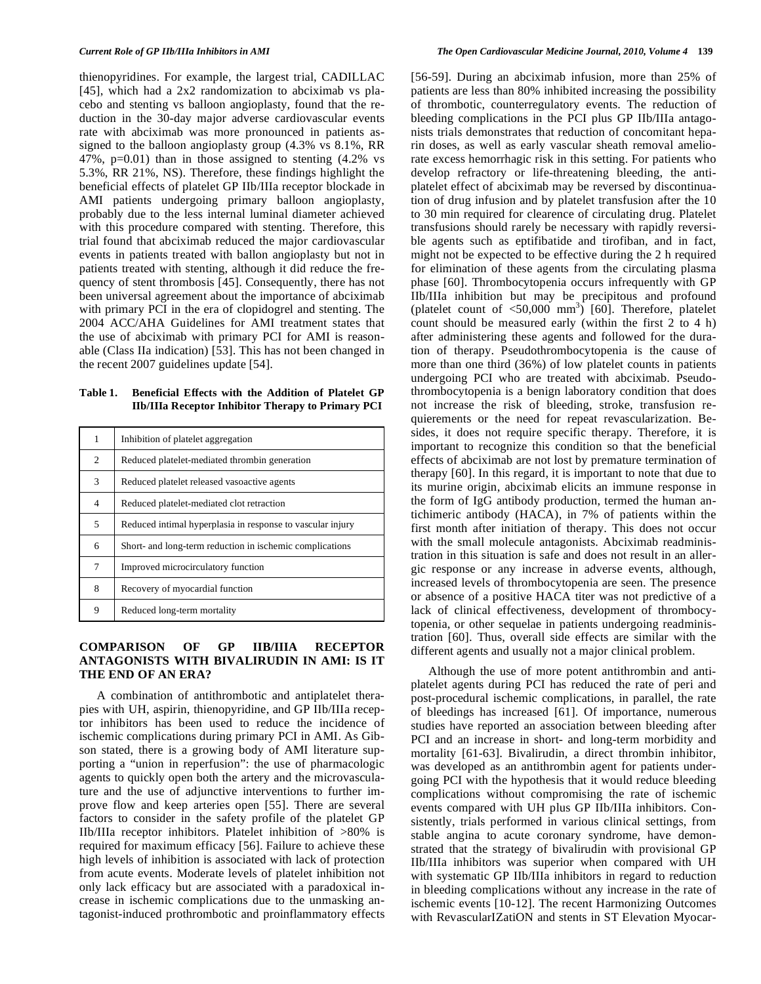thienopyridines. For example, the largest trial, CADILLAC [45], which had a 2x2 randomization to abciximab vs placebo and stenting vs balloon angioplasty, found that the reduction in the 30-day major adverse cardiovascular events rate with abciximab was more pronounced in patients assigned to the balloon angioplasty group (4.3% vs 8.1%, RR 47%,  $p=0.01$ ) than in those assigned to stenting  $(4.2\%$  vs 5.3%, RR 21%, NS). Therefore, these findings highlight the beneficial effects of platelet GP IIb/IIIa receptor blockade in AMI patients undergoing primary balloon angioplasty, probably due to the less internal luminal diameter achieved with this procedure compared with stenting. Therefore, this trial found that abciximab reduced the major cardiovascular events in patients treated with ballon angioplasty but not in patients treated with stenting, although it did reduce the frequency of stent thrombosis [45]. Consequently, there has not been universal agreement about the importance of abciximab with primary PCI in the era of clopidogrel and stenting. The 2004 ACC/AHA Guidelines for AMI treatment states that the use of abciximab with primary PCI for AMI is reasonable (Class IIa indication) [53]. This has not been changed in the recent 2007 guidelines update [54].

**Table 1. Beneficial Effects with the Addition of Platelet GP IIb/IIIa Receptor Inhibitor Therapy to Primary PCI** 

| 1              | Inhibition of platelet aggregation                         |  |
|----------------|------------------------------------------------------------|--|
| 2              | Reduced platelet-mediated thrombin generation              |  |
| 3              | Reduced platelet released vasoactive agents                |  |
| $\overline{4}$ | Reduced platelet-mediated clot retraction                  |  |
| 5              | Reduced intimal hyperplasia in response to vascular injury |  |
| 6              | Short- and long-term reduction in ischemic complications   |  |
| 7              | Improved microcirculatory function                         |  |
| 8              | Recovery of myocardial function                            |  |
| 9              | Reduced long-term mortality                                |  |

#### **COMPARISON OF GP IIB/IIIA RECEPTOR ANTAGONISTS WITH BIVALIRUDIN IN AMI: IS IT THE END OF AN ERA?**

 A combination of antithrombotic and antiplatelet therapies with UH, aspirin, thienopyridine, and GP IIb/IIIa receptor inhibitors has been used to reduce the incidence of ischemic complications during primary PCI in AMI. As Gibson stated, there is a growing body of AMI literature supporting a "union in reperfusion": the use of pharmacologic agents to quickly open both the artery and the microvasculature and the use of adjunctive interventions to further improve flow and keep arteries open [55]. There are several factors to consider in the safety profile of the platelet GP IIb/IIIa receptor inhibitors. Platelet inhibition of >80% is required for maximum efficacy [56]. Failure to achieve these high levels of inhibition is associated with lack of protection from acute events. Moderate levels of platelet inhibition not only lack efficacy but are associated with a paradoxical increase in ischemic complications due to the unmasking antagonist-induced prothrombotic and proinflammatory effects

[56-59]. During an abciximab infusion, more than 25% of patients are less than 80% inhibited increasing the possibility of thrombotic, counterregulatory events. The reduction of bleeding complications in the PCI plus GP IIb/IIIa antagonists trials demonstrates that reduction of concomitant heparin doses, as well as early vascular sheath removal ameliorate excess hemorrhagic risk in this setting. For patients who develop refractory or life-threatening bleeding, the antiplatelet effect of abciximab may be reversed by discontinuation of drug infusion and by platelet transfusion after the 10 to 30 min required for clearence of circulating drug. Platelet transfusions should rarely be necessary with rapidly reversible agents such as eptifibatide and tirofiban, and in fact, might not be expected to be effective during the 2 h required for elimination of these agents from the circulating plasma phase [60]. Thrombocytopenia occurs infrequently with GP IIb/IIIa inhibition but may be precipitous and profound (platelet count of  $\langle 50,000 \rangle$  mm<sup>3</sup>) [60]. Therefore, platelet count should be measured early (within the first 2 to 4 h) after administering these agents and followed for the duration of therapy. Pseudothrombocytopenia is the cause of more than one third (36%) of low platelet counts in patients undergoing PCI who are treated with abciximab. Pseudothrombocytopenia is a benign laboratory condition that does not increase the risk of bleeding, stroke, transfusion requierements or the need for repeat revascularization. Besides, it does not require specific therapy. Therefore, it is important to recognize this condition so that the beneficial effects of abciximab are not lost by premature termination of therapy [60]. In this regard, it is important to note that due to its murine origin, abciximab elicits an immune response in the form of IgG antibody production, termed the human antichimeric antibody (HACA), in 7% of patients within the first month after initiation of therapy. This does not occur with the small molecule antagonists. Abciximab readministration in this situation is safe and does not result in an allergic response or any increase in adverse events, although, increased levels of thrombocytopenia are seen. The presence or absence of a positive HACA titer was not predictive of a lack of clinical effectiveness, development of thrombocytopenia, or other sequelae in patients undergoing readministration [60]. Thus, overall side effects are similar with the different agents and usually not a major clinical problem.

 Although the use of more potent antithrombin and antiplatelet agents during PCI has reduced the rate of peri and post-procedural ischemic complications, in parallel, the rate of bleedings has increased [61]. Of importance, numerous studies have reported an association between bleeding after PCI and an increase in short- and long-term morbidity and mortality [61-63]. Bivalirudin, a direct thrombin inhibitor, was developed as an antithrombin agent for patients undergoing PCI with the hypothesis that it would reduce bleeding complications without compromising the rate of ischemic events compared with UH plus GP IIb/IIIa inhibitors. Consistently, trials performed in various clinical settings, from stable angina to acute coronary syndrome, have demonstrated that the strategy of bivalirudin with provisional GP IIb/IIIa inhibitors was superior when compared with UH with systematic GP IIb/IIIa inhibitors in regard to reduction in bleeding complications without any increase in the rate of ischemic events [10-12]. The recent Harmonizing Outcomes with RevascularIZatiON and stents in ST Elevation Myocar-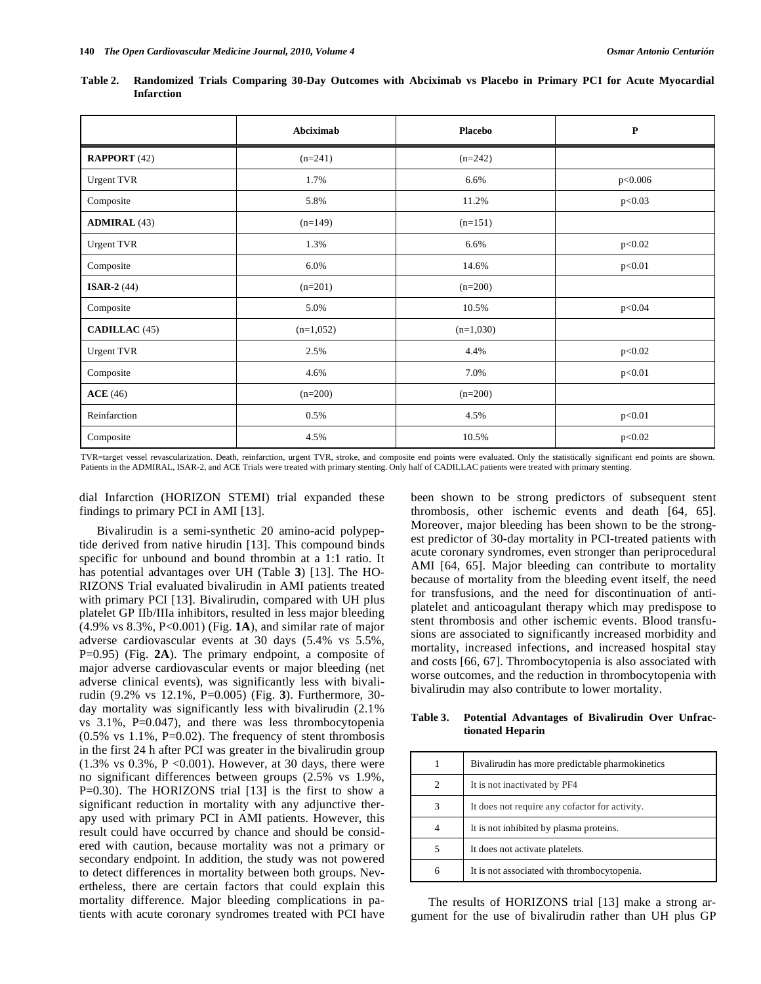|                      | Abciximab   | <b>Placebo</b> | $\mathbf P$ |
|----------------------|-------------|----------------|-------------|
| <b>RAPPORT</b> (42)  | $(n=241)$   | $(n=242)$      |             |
| Urgent TVR           | 1.7%        | 6.6%           | p<0.006     |
| Composite            | 5.8%        | 11.2%          | p<0.03      |
| <b>ADMIRAL</b> (43)  | $(n=149)$   | $(n=151)$      |             |
| <b>Urgent TVR</b>    | 1.3%        | 6.6%           | p<0.02      |
| Composite            | 6.0%        | 14.6%          | p<0.01      |
| <b>ISAR-2</b> $(44)$ | $(n=201)$   | $(n=200)$      |             |
| Composite            | 5.0%        | 10.5%          | p<0.04      |
| <b>CADILLAC</b> (45) | $(n=1,052)$ | $(n=1,030)$    |             |
| <b>Urgent TVR</b>    | 2.5%        | 4.4%           | p<0.02      |
| Composite            | 4.6%        | 7.0%           | p<0.01      |
| ACE(46)              | $(n=200)$   | $(n=200)$      |             |
| Reinfarction         | 0.5%        | 4.5%           | p<0.01      |
| Composite            | 4.5%        | 10.5%          | p<0.02      |

**Table 2. Randomized Trials Comparing 30-Day Outcomes with Abciximab vs Placebo in Primary PCI for Acute Myocardial Infarction** 

TVR=target vessel revascularization. Death, reinfarction, urgent TVR, stroke, and composite end points were evaluated. Only the statistically significant end points are shown. Patients in the ADMIRAL, ISAR-2, and ACE Trials were treated with primary stenting. Only half of CADILLAC patients were treated with primary stenting.

dial Infarction (HORIZON STEMI) trial expanded these findings to primary PCI in AMI [13].

 Bivalirudin is a semi-synthetic 20 amino-acid polypeptide derived from native hirudin [13]. This compound binds specific for unbound and bound thrombin at a 1:1 ratio. It has potential advantages over UH (Table **3**) [13]. The HO-RIZONS Trial evaluated bivalirudin in AMI patients treated with primary PCI [13]. Bivalirudin, compared with UH plus platelet GP IIb/IIIa inhibitors, resulted in less major bleeding (4.9% vs 8.3%, P<0.001) (Fig. **1A**), and similar rate of major adverse cardiovascular events at 30 days (5.4% vs 5.5%, P=0.95) (Fig. **2A**). The primary endpoint, a composite of major adverse cardiovascular events or major bleeding (net adverse clinical events), was significantly less with bivalirudin (9.2% vs 12.1%, P=0.005) (Fig. **3**). Furthermore, 30 day mortality was significantly less with bivalirudin (2.1% vs 3.1%, P=0.047), and there was less thrombocytopenia  $(0.5\% \text{ vs } 1.1\%, \text{ P=0.02}).$  The frequency of stent thrombosis in the first 24 h after PCI was greater in the bivalirudin group  $(1.3\% \text{ vs } 0.3\%, P < 0.001)$ . However, at 30 days, there were no significant differences between groups (2.5% vs 1.9%, P=0.30). The HORIZONS trial [13] is the first to show a significant reduction in mortality with any adjunctive therapy used with primary PCI in AMI patients. However, this result could have occurred by chance and should be considered with caution, because mortality was not a primary or secondary endpoint. In addition, the study was not powered to detect differences in mortality between both groups. Nevertheless, there are certain factors that could explain this mortality difference. Major bleeding complications in patients with acute coronary syndromes treated with PCI have been shown to be strong predictors of subsequent stent thrombosis, other ischemic events and death [64, 65]. Moreover, major bleeding has been shown to be the strongest predictor of 30-day mortality in PCI-treated patients with acute coronary syndromes, even stronger than periprocedural AMI [64, 65]. Major bleeding can contribute to mortality because of mortality from the bleeding event itself, the need for transfusions, and the need for discontinuation of antiplatelet and anticoagulant therapy which may predispose to stent thrombosis and other ischemic events. Blood transfusions are associated to significantly increased morbidity and mortality, increased infections, and increased hospital stay and costs [66, 67]. Thrombocytopenia is also associated with worse outcomes, and the reduction in thrombocytopenia with bivalirudin may also contribute to lower mortality.

#### **Table 3. Potential Advantages of Bivalirudin Over Unfractionated Heparin**

|   | Bivalirudin has more predictable pharmokinetics |
|---|-------------------------------------------------|
| 2 | It is not inactivated by PF4                    |
| 3 | It does not require any cofactor for activity.  |
| 4 | It is not inhibited by plasma proteins.         |
| 5 | It does not activate platelets.                 |
| 6 | It is not associated with thrombocytopenia.     |

 The results of HORIZONS trial [13] make a strong argument for the use of bivalirudin rather than UH plus GP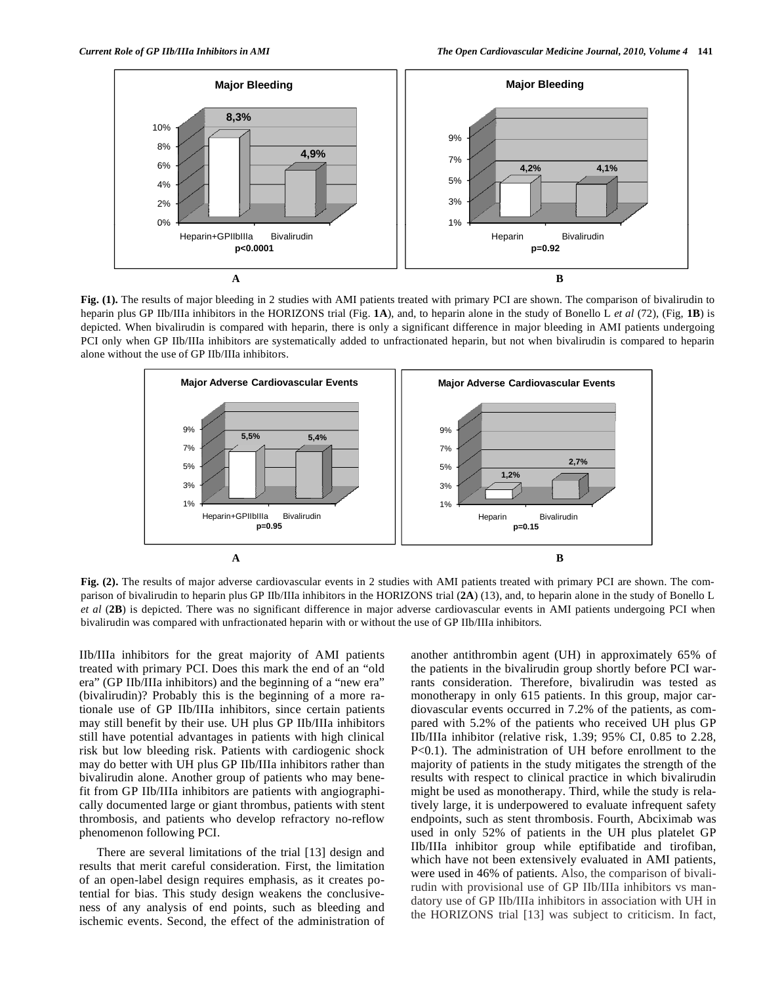

**Fig. (1).** The results of major bleeding in 2 studies with AMI patients treated with primary PCI are shown. The comparison of bivalirudin to heparin plus GP IIb/IIIa inhibitors in the HORIZONS trial (Fig. **1A**), and, to heparin alone in the study of Bonello L *et al* (72), (Fig, **1B**) is depicted. When bivalirudin is compared with heparin, there is only a significant difference in major bleeding in AMI patients undergoing PCI only when GP IIb/IIIa inhibitors are systematically added to unfractionated heparin, but not when bivalirudin is compared to heparin alone without the use of GP IIb/IIIa inhibitors.



**Fig. (2).** The results of major adverse cardiovascular events in 2 studies with AMI patients treated with primary PCI are shown. The comparison of bivalirudin to heparin plus GP IIb/IIIa inhibitors in the HORIZONS trial (**2A**) (13), and, to heparin alone in the study of Bonello L *et al* (**2B**) is depicted. There was no significant difference in major adverse cardiovascular events in AMI patients undergoing PCI when bivalirudin was compared with unfractionated heparin with or without the use of GP IIb/IIIa inhibitors.

IIb/IIIa inhibitors for the great majority of AMI patients treated with primary PCI. Does this mark the end of an "old era" (GP IIb/IIIa inhibitors) and the beginning of a "new era" (bivalirudin)? Probably this is the beginning of a more rationale use of GP IIb/IIIa inhibitors, since certain patients may still benefit by their use. UH plus GP IIb/IIIa inhibitors still have potential advantages in patients with high clinical risk but low bleeding risk. Patients with cardiogenic shock may do better with UH plus GP IIb/IIIa inhibitors rather than bivalirudin alone. Another group of patients who may benefit from GP IIb/IIIa inhibitors are patients with angiographically documented large or giant thrombus, patients with stent thrombosis, and patients who develop refractory no-reflow phenomenon following PCI.

 There are several limitations of the trial [13] design and results that merit careful consideration. First, the limitation of an open-label design requires emphasis, as it creates potential for bias. This study design weakens the conclusiveness of any analysis of end points, such as bleeding and ischemic events. Second, the effect of the administration of another antithrombin agent (UH) in approximately 65% of the patients in the bivalirudin group shortly before PCI warrants consideration. Therefore, bivalirudin was tested as monotherapy in only 615 patients. In this group, major cardiovascular events occurred in 7.2% of the patients, as compared with 5.2% of the patients who received UH plus GP IIb/IIIa inhibitor (relative risk, 1.39; 95% CI, 0.85 to 2.28, P<0.1). The administration of UH before enrollment to the majority of patients in the study mitigates the strength of the results with respect to clinical practice in which bivalirudin might be used as monotherapy. Third, while the study is relatively large, it is underpowered to evaluate infrequent safety endpoints, such as stent thrombosis. Fourth, Abciximab was used in only 52% of patients in the UH plus platelet GP IIb/IIIa inhibitor group while eptifibatide and tirofiban, which have not been extensively evaluated in AMI patients, were used in 46% of patients. Also, the comparison of bivalirudin with provisional use of GP IIb/IIIa inhibitors vs mandatory use of GP IIb/IIIa inhibitors in association with UH in the HORIZONS trial [13] was subject to criticism. In fact,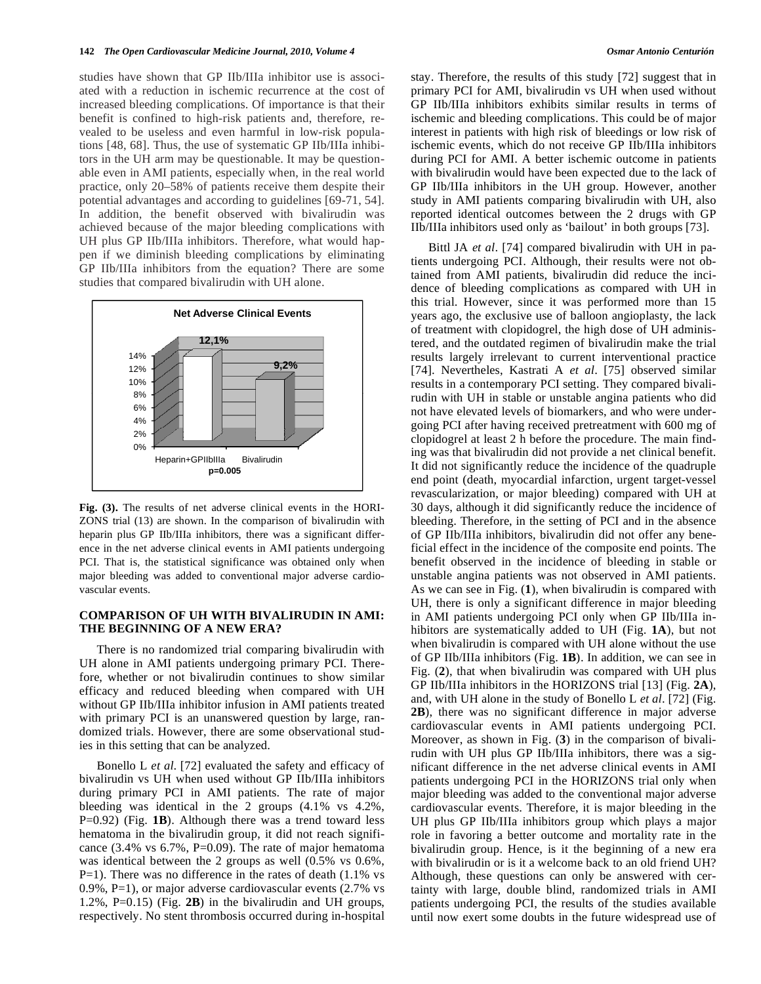studies have shown that GP IIb/IIIa inhibitor use is associated with a reduction in ischemic recurrence at the cost of increased bleeding complications. Of importance is that their benefit is confined to high-risk patients and, therefore, revealed to be useless and even harmful in low-risk populations [48, 68]. Thus, the use of systematic GP IIb/IIIa inhibitors in the UH arm may be questionable. It may be questionable even in AMI patients, especially when, in the real world practice, only 20–58% of patients receive them despite their potential advantages and according to guidelines [69-71, 54]. In addition, the benefit observed with bivalirudin was achieved because of the major bleeding complications with UH plus GP IIb/IIIa inhibitors. Therefore, what would happen if we diminish bleeding complications by eliminating GP IIb/IIIa inhibitors from the equation? There are some studies that compared bivalirudin with UH alone.



**Fig. (3).** The results of net adverse clinical events in the HORI-ZONS trial (13) are shown. In the comparison of bivalirudin with heparin plus GP IIb/IIIa inhibitors, there was a significant difference in the net adverse clinical events in AMI patients undergoing PCI. That is, the statistical significance was obtained only when major bleeding was added to conventional major adverse cardiovascular events.

## **COMPARISON OF UH WITH BIVALIRUDIN IN AMI: THE BEGINNING OF A NEW ERA?**

 There is no randomized trial comparing bivalirudin with UH alone in AMI patients undergoing primary PCI. Therefore, whether or not bivalirudin continues to show similar efficacy and reduced bleeding when compared with UH without GP IIb/IIIa inhibitor infusion in AMI patients treated with primary PCI is an unanswered question by large, randomized trials. However, there are some observational studies in this setting that can be analyzed.

 Bonello L *et al*. [72] evaluated the safety and efficacy of bivalirudin vs UH when used without GP IIb/IIIa inhibitors during primary PCI in AMI patients. The rate of major bleeding was identical in the 2 groups (4.1% vs 4.2%, P=0.92) (Fig. **1B**). Although there was a trend toward less hematoma in the bivalirudin group, it did not reach significance (3.4% vs 6.7%, P=0.09). The rate of major hematoma was identical between the 2 groups as well (0.5% vs 0.6%, P=1). There was no difference in the rates of death (1.1% vs 0.9%, P=1), or major adverse cardiovascular events (2.7% vs 1.2%, P=0.15) (Fig. **2B**) in the bivalirudin and UH groups, respectively. No stent thrombosis occurred during in-hospital stay. Therefore, the results of this study [72] suggest that in primary PCI for AMI, bivalirudin vs UH when used without GP IIb/IIIa inhibitors exhibits similar results in terms of ischemic and bleeding complications. This could be of major interest in patients with high risk of bleedings or low risk of ischemic events, which do not receive GP IIb/IIIa inhibitors during PCI for AMI. A better ischemic outcome in patients with bivalirudin would have been expected due to the lack of GP IIb/IIIa inhibitors in the UH group. However, another study in AMI patients comparing bivalirudin with UH, also reported identical outcomes between the 2 drugs with GP IIb/IIIa inhibitors used only as 'bailout' in both groups [73].

 Bittl JA *et al*. [74] compared bivalirudin with UH in patients undergoing PCI. Although, their results were not obtained from AMI patients, bivalirudin did reduce the incidence of bleeding complications as compared with UH in this trial. However, since it was performed more than 15 years ago, the exclusive use of balloon angioplasty, the lack of treatment with clopidogrel, the high dose of UH administered, and the outdated regimen of bivalirudin make the trial results largely irrelevant to current interventional practice [74]. Nevertheles, Kastrati A *et al*. [75] observed similar results in a contemporary PCI setting. They compared bivalirudin with UH in stable or unstable angina patients who did not have elevated levels of biomarkers, and who were undergoing PCI after having received pretreatment with 600 mg of clopidogrel at least 2 h before the procedure. The main finding was that bivalirudin did not provide a net clinical benefit. It did not significantly reduce the incidence of the quadruple end point (death, myocardial infarction, urgent target-vessel revascularization, or major bleeding) compared with UH at 30 days, although it did significantly reduce the incidence of bleeding. Therefore, in the setting of PCI and in the absence of GP IIb/IIIa inhibitors, bivalirudin did not offer any beneficial effect in the incidence of the composite end points. The benefit observed in the incidence of bleeding in stable or unstable angina patients was not observed in AMI patients. As we can see in Fig. (**1**), when bivalirudin is compared with UH, there is only a significant difference in major bleeding in AMI patients undergoing PCI only when GP IIb/IIIa inhibitors are systematically added to UH (Fig. **1A**), but not when bivalirudin is compared with UH alone without the use of GP IIb/IIIa inhibitors (Fig. **1B**). In addition, we can see in Fig. (**2**), that when bivalirudin was compared with UH plus GP IIb/IIIa inhibitors in the HORIZONS trial [13] (Fig. **2A**), and, with UH alone in the study of Bonello L *et al*. [72] (Fig. **2B**), there was no significant difference in major adverse cardiovascular events in AMI patients undergoing PCI. Moreover, as shown in Fig. (**3**) in the comparison of bivalirudin with UH plus GP IIb/IIIa inhibitors, there was a significant difference in the net adverse clinical events in AMI patients undergoing PCI in the HORIZONS trial only when major bleeding was added to the conventional major adverse cardiovascular events. Therefore, it is major bleeding in the UH plus GP IIb/IIIa inhibitors group which plays a major role in favoring a better outcome and mortality rate in the bivalirudin group. Hence, is it the beginning of a new era with bivalirudin or is it a welcome back to an old friend UH? Although, these questions can only be answered with certainty with large, double blind, randomized trials in AMI patients undergoing PCI, the results of the studies available until now exert some doubts in the future widespread use of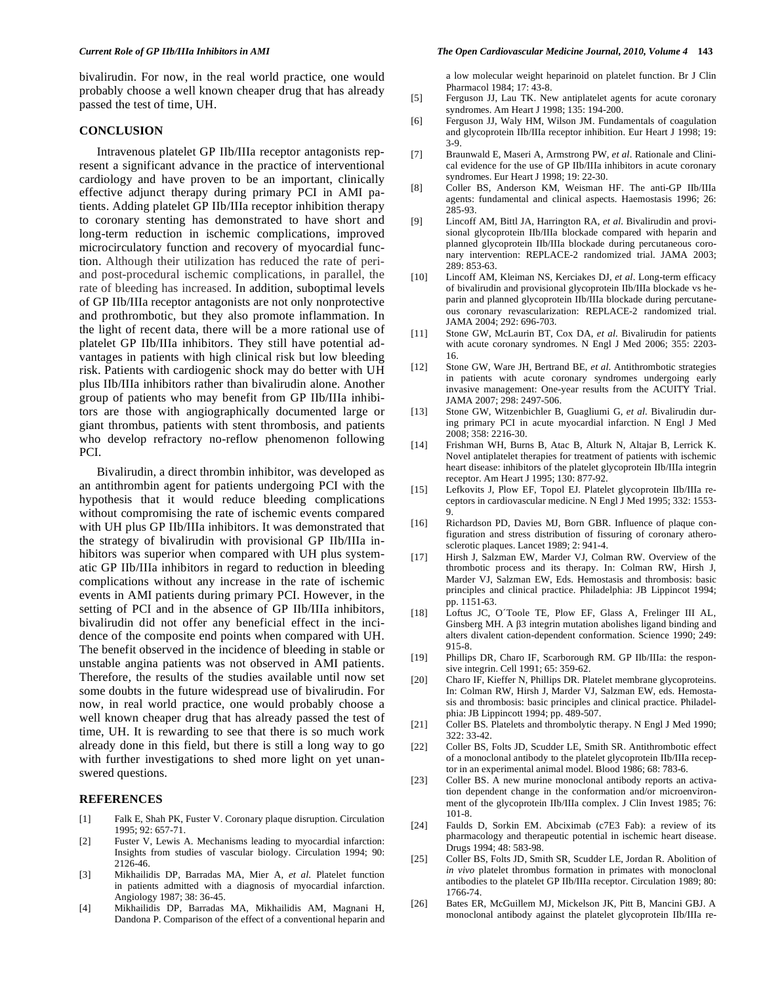bivalirudin. For now, in the real world practice, one would probably choose a well known cheaper drug that has already passed the test of time, UH.

#### **CONCLUSION**

 Intravenous platelet GP IIb/IIIa receptor antagonists represent a significant advance in the practice of interventional cardiology and have proven to be an important, clinically effective adjunct therapy during primary PCI in AMI patients. Adding platelet GP IIb/IIIa receptor inhibition therapy to coronary stenting has demonstrated to have short and long-term reduction in ischemic complications, improved microcirculatory function and recovery of myocardial function. Although their utilization has reduced the rate of periand post-procedural ischemic complications, in parallel, the rate of bleeding has increased. In addition, suboptimal levels of GP IIb/IIIa receptor antagonists are not only nonprotective and prothrombotic, but they also promote inflammation. In the light of recent data, there will be a more rational use of platelet GP IIb/IIIa inhibitors. They still have potential advantages in patients with high clinical risk but low bleeding risk. Patients with cardiogenic shock may do better with UH plus IIb/IIIa inhibitors rather than bivalirudin alone. Another group of patients who may benefit from GP IIb/IIIa inhibitors are those with angiographically documented large or giant thrombus, patients with stent thrombosis, and patients who develop refractory no-reflow phenomenon following PCI.

 Bivalirudin, a direct thrombin inhibitor, was developed as an antithrombin agent for patients undergoing PCI with the hypothesis that it would reduce bleeding complications without compromising the rate of ischemic events compared with UH plus GP IIb/IIIa inhibitors. It was demonstrated that the strategy of bivalirudin with provisional GP IIb/IIIa inhibitors was superior when compared with UH plus systematic GP IIb/IIIa inhibitors in regard to reduction in bleeding complications without any increase in the rate of ischemic events in AMI patients during primary PCI. However, in the setting of PCI and in the absence of GP IIb/IIIa inhibitors, bivalirudin did not offer any beneficial effect in the incidence of the composite end points when compared with UH. The benefit observed in the incidence of bleeding in stable or unstable angina patients was not observed in AMI patients. Therefore, the results of the studies available until now set some doubts in the future widespread use of bivalirudin. For now, in real world practice, one would probably choose a well known cheaper drug that has already passed the test of time, UH. It is rewarding to see that there is so much work already done in this field, but there is still a long way to go with further investigations to shed more light on yet unanswered questions.

#### **REFERENCES**

- [1] Falk E, Shah PK, Fuster V. Coronary plaque disruption. Circulation 1995; 92: 657-71.
- [2] Fuster V, Lewis A. Mechanisms leading to myocardial infarction: Insights from studies of vascular biology. Circulation 1994; 90: 2126-46.
- [3] Mikhailidis DP, Barradas MA, Mier A, *et al*. Platelet function in patients admitted with a diagnosis of myocardial infarction. Angiology 1987; 38: 36-45.
- [4] Mikhailidis DP, Barradas MA, Mikhailidis AM, Magnani H, Dandona P. Comparison of the effect of a conventional heparin and

#### *Current Role of GP IIb/IIIa Inhibitors in AMI The Open Cardiovascular Medicine Journal, 2010, Volume 4* **143**

a low molecular weight heparinoid on platelet function. Br J Clin Pharmacol 1984; 17: 43-8.

- [5] Ferguson JJ, Lau TK. New antiplatelet agents for acute coronary syndromes. Am Heart J 1998; 135: 194-200.
- [6] Ferguson JJ, Waly HM, Wilson JM. Fundamentals of coagulation and glycoprotein IIb/IIIa receptor inhibition. Eur Heart J 1998; 19: 3-9.
- [7] Braunwald E, Maseri A, Armstrong PW, *et al*. Rationale and Clinical evidence for the use of GP IIb/IIIa inhibitors in acute coronary syndromes. Eur Heart J 1998; 19: 22-30.
- [8] Coller BS, Anderson KM, Weisman HF. The anti-GP IIb/IIIa agents: fundamental and clinical aspects. Haemostasis 1996; 26: 285-93.
- [9] Lincoff AM, Bittl JA, Harrington RA, *et al*. Bivalirudin and provisional glycoprotein IIb/IIIa blockade compared with heparin and planned glycoprotein IIb/IIIa blockade during percutaneous coronary intervention: REPLACE-2 randomized trial. JAMA 2003; 289: 853-63.
- [10] Lincoff AM, Kleiman NS, Kerciakes DJ, *et al*. Long-term efficacy of bivalirudin and provisional glycoprotein IIb/IIIa blockade vs heparin and planned glycoprotein IIb/IIIa blockade during percutaneous coronary revascularization: REPLACE-2 randomized trial. JAMA 2004; 292: 696-703.
- [11] Stone GW, McLaurin BT, Cox DA, *et al*. Bivalirudin for patients with acute coronary syndromes. N Engl J Med 2006; 355: 2203- 16.
- [12] Stone GW, Ware JH, Bertrand BE, *et al*. Antithrombotic strategies in patients with acute coronary syndromes undergoing early invasive management: One-year results from the ACUITY Trial. JAMA 2007; 298: 2497-506.
- [13] Stone GW, Witzenbichler B, Guagliumi G, *et al*. Bivalirudin during primary PCI in acute myocardial infarction. N Engl J Med 2008; 358: 2216-30.
- [14] Frishman WH, Burns B, Atac B, Alturk N, Altajar B, Lerrick K. Novel antiplatelet therapies for treatment of patients with ischemic heart disease: inhibitors of the platelet glycoprotein IIb/IIIa integrin receptor. Am Heart J 1995; 130: 877-92.
- [15] Lefkovits J, Plow EF, Topol EJ. Platelet glycoprotein IIb/IIIa receptors in cardiovascular medicine. N Engl J Med 1995; 332: 1553- 9.
- [16] Richardson PD, Davies MJ, Born GBR. Influence of plaque configuration and stress distribution of fissuring of coronary atherosclerotic plaques. Lancet 1989; 2: 941-4.
- [17] Hirsh J, Salzman EW, Marder VJ, Colman RW. Overview of the thrombotic process and its therapy. In: Colman RW, Hirsh J, Marder VJ, Salzman EW, Eds. Hemostasis and thrombosis: basic principles and clinical practice. Philadelphia: JB Lippincot 1994; pp. 1151-63.
- [18] Loftus JC, O´Toole TE, Plow EF, Glass A, Frelinger III AL, Ginsberg MH. A  $\beta$ 3 integrin mutation abolishes ligand binding and alters divalent cation-dependent conformation. Science 1990; 249: 915-8.
- [19] Phillips DR, Charo IF, Scarborough RM. GP IIb/IIIa: the responsive integrin. Cell 1991; 65: 359-62.
- [20] Charo IF, Kieffer N, Phillips DR. Platelet membrane glycoproteins. In: Colman RW, Hirsh J, Marder VJ, Salzman EW, eds. Hemostasis and thrombosis: basic principles and clinical practice. Philadelphia: JB Lippincott 1994; pp. 489-507.
- [21] Coller BS. Platelets and thrombolytic therapy. N Engl J Med 1990;  $322 \cdot 33 - 42$
- [22] Coller BS, Folts JD, Scudder LE, Smith SR. Antithrombotic effect of a monoclonal antibody to the platelet glycoprotein IIb/IIIa receptor in an experimental animal model. Blood 1986; 68: 783-6.
- [23] Coller BS. A new murine monoclonal antibody reports an activation dependent change in the conformation and/or microenvironment of the glycoprotein IIb/IIIa complex. J Clin Invest 1985; 76: 101-8.
- [24] Faulds D, Sorkin EM. Abciximab (c7E3 Fab): a review of its pharmacology and therapeutic potential in ischemic heart disease. Drugs 1994; 48: 583-98.
- [25] Coller BS, Folts JD, Smith SR, Scudder LE, Jordan R. Abolition of *in vivo* platelet thrombus formation in primates with monoclonal antibodies to the platelet GP IIb/IIIa receptor. Circulation 1989; 80: 1766-74.
- [26] Bates ER, McGuillem MJ, Mickelson JK, Pitt B, Mancini GBJ. A monoclonal antibody against the platelet glycoprotein IIb/IIIa re-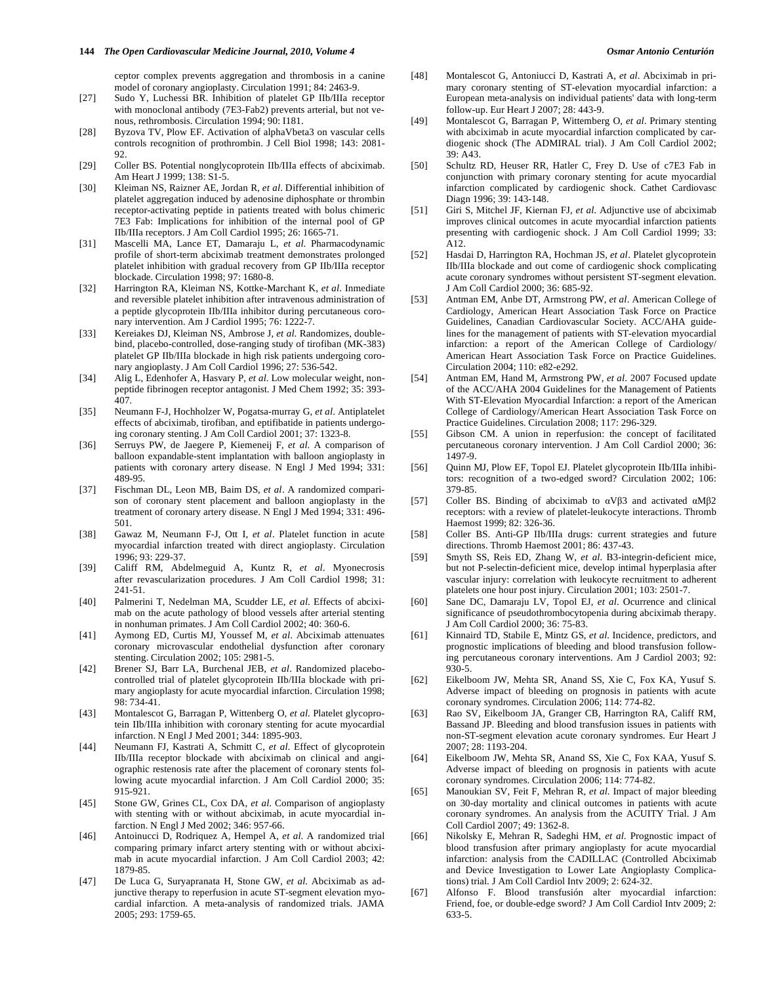ceptor complex prevents aggregation and thrombosis in a canine model of coronary angioplasty. Circulation 1991; 84: 2463-9.

- [27] Sudo Y, Luchessi BR. Inhibition of platelet GP IIb/IIIa receptor with monoclonal antibody (7E3-Fab2) prevents arterial, but not venous, rethrombosis. Circulation 1994; 90: I181.
- [28] Byzova TV, Plow EF. Activation of alphaVbeta3 on vascular cells controls recognition of prothrombin. J Cell Biol 1998; 143: 2081- 92.
- [29] Coller BS. Potential nonglycoprotein IIb/IIIa effects of abciximab. Am Heart J 1999; 138: S1-5.
- [30] Kleiman NS, Raizner AE, Jordan R, *et al*. Differential inhibition of platelet aggregation induced by adenosine diphosphate or thrombin receptor-activating peptide in patients treated with bolus chimeric 7E3 Fab: Implications for inhibition of the internal pool of GP IIb/IIIa receptors. J Am Coll Cardiol 1995; 26: 1665-71.
- [31] Mascelli MA, Lance ET, Damaraju L, *et al*. Pharmacodynamic profile of short-term abciximab treatment demonstrates prolonged platelet inhibition with gradual recovery from GP IIb/IIIa receptor blockade. Circulation 1998; 97: 1680-8.
- [32] Harrington RA, Kleiman NS, Kottke-Marchant K, *et al*. Inmediate and reversible platelet inhibition after intravenous administration of a peptide glycoprotein IIb/IIIa inhibitor during percutaneous coronary intervention. Am J Cardiol 1995; 76: 1222-7.
- [33] Kereiakes DJ, Kleiman NS, Ambrose J, *et al*. Randomizes, doublebind, placebo-controlled, dose-ranging study of tirofiban (MK-383) platelet GP IIb/IIIa blockade in high risk patients undergoing coronary angioplasty. J Am Coll Cardiol 1996; 27: 536-542.
- [34] Alig L, Edenhofer A, Hasvary P, *et al*. Low molecular weight, nonpeptide fibrinogen receptor antagonist. J Med Chem 1992; 35: 393- 407.
- [35] Neumann F-J, Hochholzer W, Pogatsa-murray G, *et al*. Antiplatelet effects of abciximab, tirofiban, and eptifibatide in patients undergoing coronary stenting. J Am Coll Cardiol 2001; 37: 1323-8.
- [36] Serruys PW, de Jaegere P, Kiemeneij F, *et al*. A comparison of balloon expandable-stent implantation with balloon angioplasty in patients with coronary artery disease. N Engl J Med 1994; 331: 489-95.
- [37] Fischman DL, Leon MB, Baim DS, *et al*. A randomized comparison of coronary stent placement and balloon angioplasty in the treatment of coronary artery disease. N Engl J Med 1994; 331: 496- 501.
- [38] Gawaz M, Neumann F-J, Ott I, *et al*. Platelet function in acute myocardial infarction treated with direct angioplasty. Circulation 1996; 93: 229-37.
- [39] Califf RM, Abdelmeguid A, Kuntz R, *et al*. Myonecrosis after revascularization procedures. J Am Coll Cardiol 1998; 31: 241-51.
- [40] Palmerini T, Nedelman MA, Scudder LE, *et al*. Effects of abciximab on the acute pathology of blood vessels after arterial stenting in nonhuman primates. J Am Coll Cardiol 2002; 40: 360-6.
- [41] Aymong ED, Curtis MJ, Youssef M, *et al*. Abciximab attenuates coronary microvascular endothelial dysfunction after coronary stenting. Circulation 2002; 105: 2981-5.
- [42] Brener SJ, Barr LA, Burchenal JEB, *et al*. Randomized placebocontrolled trial of platelet glycoprotein IIb/IIIa blockade with primary angioplasty for acute myocardial infarction. Circulation 1998; 98: 734-41.
- [43] Montalescot G, Barragan P, Wittenberg O, *et al*. Platelet glycoprotein IIb/IIIa inhibition with coronary stenting for acute myocardial infarction. N Engl J Med 2001; 344: 1895-903.
- [44] Neumann FJ, Kastrati A, Schmitt C, *et al*. Effect of glycoprotein IIb/IIIa receptor blockade with abciximab on clinical and angiographic restenosis rate after the placement of coronary stents following acute myocardial infarction. J Am Coll Cardiol 2000; 35: 915-921.
- [45] Stone GW, Grines CL, Cox DA, *et al*. Comparison of angioplasty with stenting with or without abciximab, in acute myocardial infarction. N Engl J Med 2002; 346: 957-66.
- [46] Antoinucci D, Rodriquez A, Hempel A, *et al*. A randomized trial comparing primary infarct artery stenting with or without abciximab in acute myocardial infarction. J Am Coll Cardiol 2003; 42: 1879-85.
- [47] De Luca G, Suryapranata H, Stone GW, *et al*. Abciximab as adjunctive therapy to reperfusion in acute ST-segment elevation myocardial infarction. A meta-analysis of randomized trials. JAMA 2005; 293: 1759-65.
- [48] Montalescot G, Antoniucci D, Kastrati A, *et al*. Abciximab in primary coronary stenting of ST-elevation myocardial infarction: a European meta-analysis on individual patients' data with long-term follow-up. Eur Heart J 2007; 28: 443-9.
- [49] Montalescot G, Barragan P, Wittemberg O, *et al*. Primary stenting with abciximab in acute myocardial infarction complicated by cardiogenic shock (The ADMIRAL trial). J Am Coll Cardiol 2002; 39: A43.
- [50] Schultz RD, Heuser RR, Hatler C, Frey D. Use of c7E3 Fab in conjunction with primary coronary stenting for acute myocardial infarction complicated by cardiogenic shock. Cathet Cardiovasc Diagn 1996; 39: 143-148.
- [51] Giri S, Mitchel JF, Kiernan FJ, *et al*. Adjunctive use of abciximab improves clinical outcomes in acute myocardial infarction patients presenting with cardiogenic shock. J Am Coll Cardiol 1999; 33: A<sub>12</sub>
- [52] Hasdai D, Harrington RA, Hochman JS, *et al*. Platelet glycoprotein IIb/IIIa blockade and out come of cardiogenic shock complicating acute coronary syndromes without persistent ST-segment elevation. J Am Coll Cardiol 2000; 36: 685-92.
- [53] Antman EM, Anbe DT, Armstrong PW, *et al*. American College of Cardiology, American Heart Association Task Force on Practice Guidelines, Canadian Cardiovascular Society. ACC/AHA guidelines for the management of patients with ST-elevation myocardial infarction: a report of the American College of Cardiology/ American Heart Association Task Force on Practice Guidelines. Circulation 2004; 110: e82-e292.
- [54] Antman EM, Hand M, Armstrong PW, *et al*. 2007 Focused update of the ACC/AHA 2004 Guidelines for the Management of Patients With ST-Elevation Myocardial Infarction: a report of the American College of Cardiology/American Heart Association Task Force on Practice Guidelines. Circulation 2008; 117: 296-329.
- [55] Gibson CM. A union in reperfusion: the concept of facilitated percutaneous coronary intervention. J Am Coll Cardiol 2000; 36: 1497-9.
- [56] Quinn MJ, Plow EF, Topol EJ. Platelet glycoprotein IIb/IIIa inhibitors: recognition of a two-edged sword? Circulation 2002; 106: 379-85.
- [57] Coller BS. Binding of abciximab to  $\alpha V\beta$ 3 and activated  $\alpha M\beta$ 2 receptors: with a review of platelet-leukocyte interactions. Thromb Haemost 1999; 82: 326-36.
- [58] Coller BS. Anti-GP IIb/IIIa drugs: current strategies and future directions. Thromb Haemost 2001; 86: 437-43.
- [59] Smyth SS, Reis ED, Zhang W, et al. B3-integrin-deficient mice, but not P-selectin-deficient mice, develop intimal hyperplasia after vascular injury: correlation with leukocyte recruitment to adherent platelets one hour post injury. Circulation 2001; 103: 2501-7.
- [60] Sane DC, Damaraju LV, Topol EJ, *et al*. Ocurrence and clinical significance of pseudothrombocytopenia during abciximab therapy. J Am Coll Cardiol 2000; 36: 75-83.
- [61] Kinnaird TD, Stabile E, Mintz GS, *et al*. Incidence, predictors, and prognostic implications of bleeding and blood transfusion following percutaneous coronary interventions. Am J Cardiol 2003; 92: 930-5.
- [62] Eikelboom JW, Mehta SR, Anand SS, Xie C, Fox KA, Yusuf S. Adverse impact of bleeding on prognosis in patients with acute coronary syndromes. Circulation 2006; 114: 774-82.
- [63] Rao SV, Eikelboom JA, Granger CB, Harrington RA, Califf RM, Bassand JP. Bleeding and blood transfusion issues in patients with non-ST-segment elevation acute coronary syndromes. Eur Heart J 2007; 28: 1193-204.
- [64] Eikelboom JW, Mehta SR, Anand SS, Xie C, Fox KAA, Yusuf S. Adverse impact of bleeding on prognosis in patients with acute coronary syndromes. Circulation 2006; 114: 774-82.
- [65] Manoukian SV, Feit F, Mehran R, *et al*. Impact of major bleeding on 30-day mortality and clinical outcomes in patients with acute coronary syndromes. An analysis from the ACUITY Trial. J Am Coll Cardiol 2007; 49: 1362-8.
- [66] Nikolsky E, Mehran R, Sadeghi HM, *et al*. Prognostic impact of blood transfusion after primary angioplasty for acute myocardial infarction: analysis from the CADILLAC (Controlled Abciximab and Device Investigation to Lower Late Angioplasty Complications) trial. J Am Coll Cardiol Intv 2009; 2: 624-32.
- [67] Alfonso F. Blood transfusión alter myocardial infarction: Friend, foe, or double-edge sword? J Am Coll Cardiol Intv 2009; 2: 633-5.